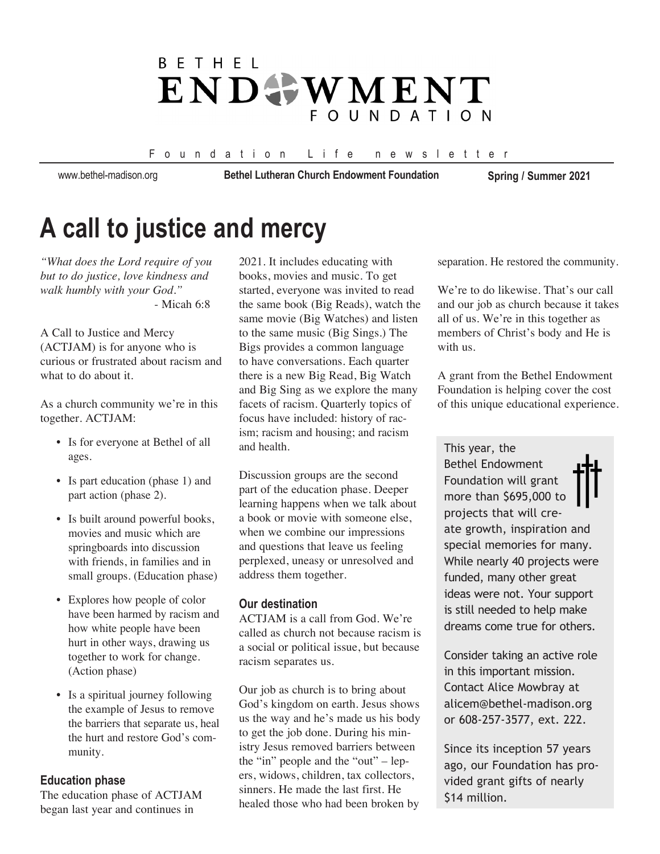## **BFTHFI** ENDOWMENT **FOUNDATION**

#### Foundation Life newsletter

www.bethel-madison.org

**Bethel Lutheran Church Endowment Foundation Spring / Summer 2021**

# **A call to justice and mercy**

*"What does the Lord require of you but to do justice, love kindness and walk humbly with your God."* - Micah 6:8

A Call to Justice and Mercy (ACTJAM) is for anyone who is curious or frustrated about racism and what to do about it.

As a church community we're in this together. ACTJAM:

- Is for everyone at Bethel of all ages.
- Is part education (phase 1) and part action (phase 2).
- Is built around powerful books, movies and music which are springboards into discussion with friends, in families and in small groups. (Education phase)
- Explores how people of color have been harmed by racism and how white people have been hurt in other ways, drawing us together to work for change. (Action phase)
- Is a spiritual journey following the example of Jesus to remove the barriers that separate us, heal the hurt and restore God's com munity.

#### **Education phase**

The education phase of ACTJAM began last year and continues in

2021. It includes educating with books, movies and music. To get started, everyone was invited to read the same book (Big Reads), watch the same movie (Big Watches) and listen to the same music (Big Sings.) The Bigs provides a common language to have conversations. Each quarter there is a new Big Read, Big Watch and Big Sing as we explore the many facets of racism. Quarterly topics of focus have included: history of racism; racism and housing; and racism and health.

Discussion groups are the second part of the education phase. Deeper learning happens when we talk about a book or movie with someone else, when we combine our impressions and questions that leave us feeling perplexed, uneasy or unresolved and address them together.

#### **Our destination**

ACTJAM is a call from God. We're called as church not because racism is a social or political issue, but because racism separates us.

Our job as church is to bring about God's kingdom on earth. Jesus shows us the way and he's made us his body to get the job done. During his ministry Jesus removed barriers between the "in" people and the "out" – lepers, widows, children, tax collectors, sinners. He made the last first. He healed those who had been broken by

separation. He restored the community.

We're to do likewise. That's our call and our job as church because it takes all of us. We're in this together as members of Christ's body and He is with us.

A grant from the Bethel Endowment Foundation is helping cover the cost of this unique educational experience.

This year, the Bethel Endowment Foundation will grant more than \$695,000 to projects that will create growth, inspiration and special memories for many. While nearly 40 projects were funded, many other great ideas were not. Your support is still needed to help make dreams come true for others.

Consider taking an active role in this important mission. Contact Alice Mowbray at alicem@bethel-madison.org or 608-257-3577, ext. 222.

Since its inception 57 years ago, our Foundation has provided grant gifts of nearly \$14 million.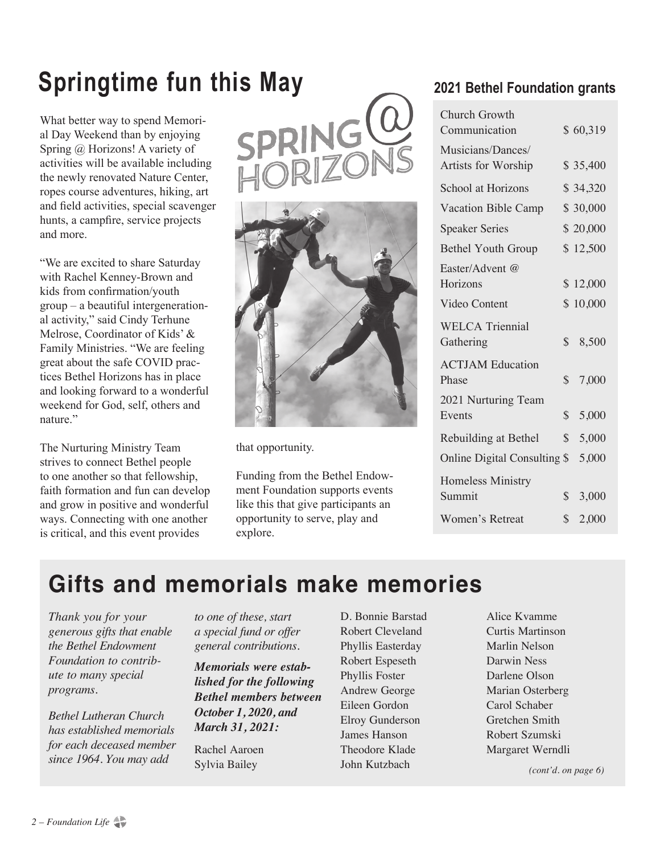# **Springtime fun this May**

What better way to spend Memorial Day Weekend than by enjoying Spring @ Horizons! A variety of activities will be available including the newly renovated Nature Center, ropes course adventures, hiking, art and field activities, special scavenger hunts, a campfire, service projects and more.

"We are excited to share Saturday with Rachel Kenney-Brown and kids from confirmation/youth group – a beautiful intergenerational activity," said Cindy Terhune Melrose, Coordinator of Kids' & Family Ministries. "We are feeling great about the safe COVID practices Bethel Horizons has in place and looking forward to a wonderful weekend for God, self, others and nature."

The Nurturing Ministry Team strives to connect Bethel people to one another so that fellowship, faith formation and fun can develop and grow in positive and wonderful ways. Connecting with one another is critical, and this event provides





that opportunity.

Funding from the Bethel Endowment Foundation supports events like this that give participants an opportunity to serve, play and explore.

## **2021 Bethel Foundation grants**

| Church Growth<br>Communication           |              | \$60,319 |
|------------------------------------------|--------------|----------|
| Musicians/Dances/<br>Artists for Worship |              | \$35,400 |
| School at Horizons                       |              | \$34,320 |
| Vacation Bible Camp                      |              | \$30,000 |
| <b>Speaker Series</b>                    |              | \$20,000 |
| <b>Bethel Youth Group</b>                |              | \$12,500 |
| Easter/Advent @<br>Horizons              |              | \$12,000 |
| Video Content                            |              | \$10,000 |
| <b>WELCA Triennial</b><br>Gathering      | $\mathbb{S}$ | 8,500    |
| <b>ACTJAM Education</b><br>Phase         | $\mathbb{S}$ | 7,000    |
| 2021 Nurturing Team<br>Events            | \$           | 5,000    |
| Rebuilding at Bethel                     | $\mathbb{S}$ | 5,000    |
| Online Digital Consulting \$             |              | 5,000    |
| <b>Homeless Ministry</b><br>Summit       | $\mathbb{S}$ | 3,000    |
| <b>Women's Retreat</b>                   | \$           | 2,000    |

# **Gifts and memorials make memories**

*Thank you for your generous gifts that enable the Bethel Endowment Foundation to contribute to many special programs.*

*Bethel Lutheran Church has established memorials for each deceased member since 1964. You may add* 

*to one of these, start a special fund or offer general contributions.*

*Memorials were established for the following Bethel members between October 1, 2020, and March 31, 2021:*

Rachel Aaroen Sylvia Bailey

D. Bonnie Barstad Robert Cleveland Phyllis Easterday Robert Espeseth Phyllis Foster Andrew George Eileen Gordon Elroy Gunderson James Hanson Theodore Klade John Kutzbach

Alice Kvamme Curtis Martinson Marlin Nelson Darwin Ness Darlene Olson Marian Osterberg Carol Schaber Gretchen Smith Robert Szumski Margaret Werndli

*(cont'd. on page 6)*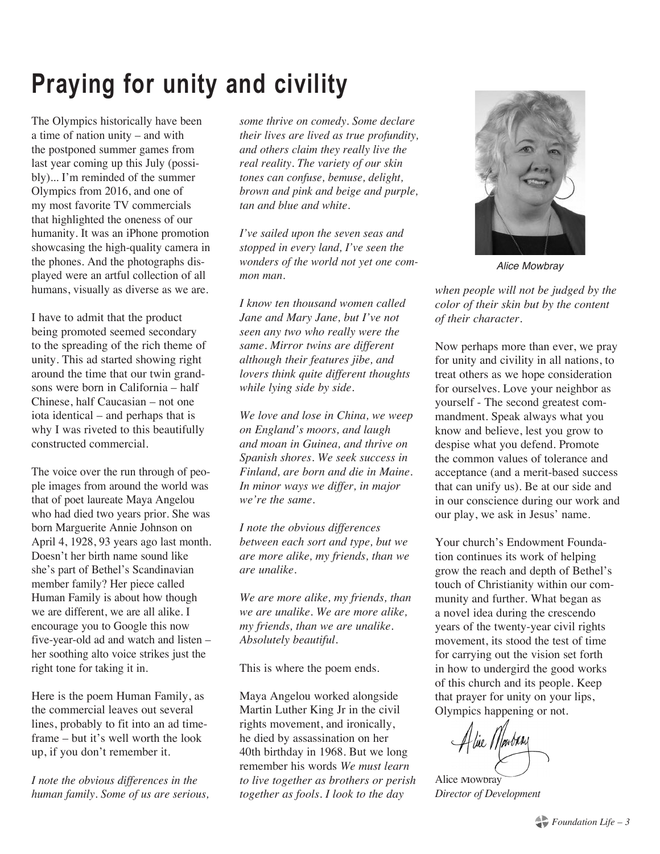# **Praying for unity and civility**

The Olympics historically have been a time of nation unity – and with the postponed summer games from last year coming up this July (possibly)... I'm reminded of the summer Olympics from 2016, and one of my most favorite TV commercials that highlighted the oneness of our humanity. It was an iPhone promotion showcasing the high-quality camera in the phones. And the photographs displayed were an artful collection of all humans, visually as diverse as we are.

I have to admit that the product being promoted seemed secondary to the spreading of the rich theme of unity. This ad started showing right around the time that our twin grandsons were born in California – half Chinese, half Caucasian – not one iota identical – and perhaps that is why I was riveted to this beautifully constructed commercial.

The voice over the run through of people images from around the world was that of poet laureate Maya Angelou who had died two years prior. She was born Marguerite Annie Johnson on April 4, 1928, 93 years ago last month. Doesn't her birth name sound like she's part of Bethel's Scandinavian member family? Her piece called Human Family is about how though we are different, we are all alike. I encourage you to Google this now five-year-old ad and watch and listen – her soothing alto voice strikes just the right tone for taking it in.

Here is the poem Human Family, as the commercial leaves out several lines, probably to fit into an ad timeframe – but it's well worth the look up, if you don't remember it.

*I note the obvious differences in the human family. Some of us are serious,*  *some thrive on comedy. Some declare their lives are lived as true profundity, and others claim they really live the real reality. The variety of our skin tones can confuse, bemuse, delight, brown and pink and beige and purple, tan and blue and white.* 

*I've sailed upon the seven seas and stopped in every land, I've seen the wonders of the world not yet one common man.* 

*I know ten thousand women called Jane and Mary Jane, but I've not seen any two who really were the same. Mirror twins are different although their features jibe, and lovers think quite different thoughts while lying side by side.* 

*We love and lose in China, we weep on England's moors, and laugh and moan in Guinea, and thrive on Spanish shores. We seek success in Finland, are born and die in Maine. In minor ways we differ, in major we're the same.* 

*I note the obvious differences between each sort and type, but we are more alike, my friends, than we are unalike.* 

*We are more alike, my friends, than we are unalike. We are more alike, my friends, than we are unalike. Absolutely beautiful.*

This is where the poem ends.

Maya Angelou worked alongside Martin Luther King Jr in the civil rights movement, and ironically, he died by assassination on her 40th birthday in 1968. But we long remember his words *We must learn to live together as brothers or perish together as fools*. *I look to the day* 



*Alice Mowbray*

*when people will not be judged by the color of their skin but by the content of their character.* 

Now perhaps more than ever, we pray for unity and civility in all nations, to treat others as we hope consideration for ourselves. Love your neighbor as yourself - The second greatest commandment. Speak always what you know and believe, lest you grow to despise what you defend. Promote the common values of tolerance and acceptance (and a merit-based success that can unify us). Be at our side and in our conscience during our work and our play, we ask in Jesus' name.

Your church's Endowment Foundation continues its work of helping grow the reach and depth of Bethel's touch of Christianity within our community and further. What began as a novel idea during the crescendo years of the twenty-year civil rights movement, its stood the test of time for carrying out the vision set forth in how to undergird the good works of this church and its people. Keep that prayer for unity on your lips, Olympics happening or not.

Alie Martin

Alice Mowbray *Director of Development*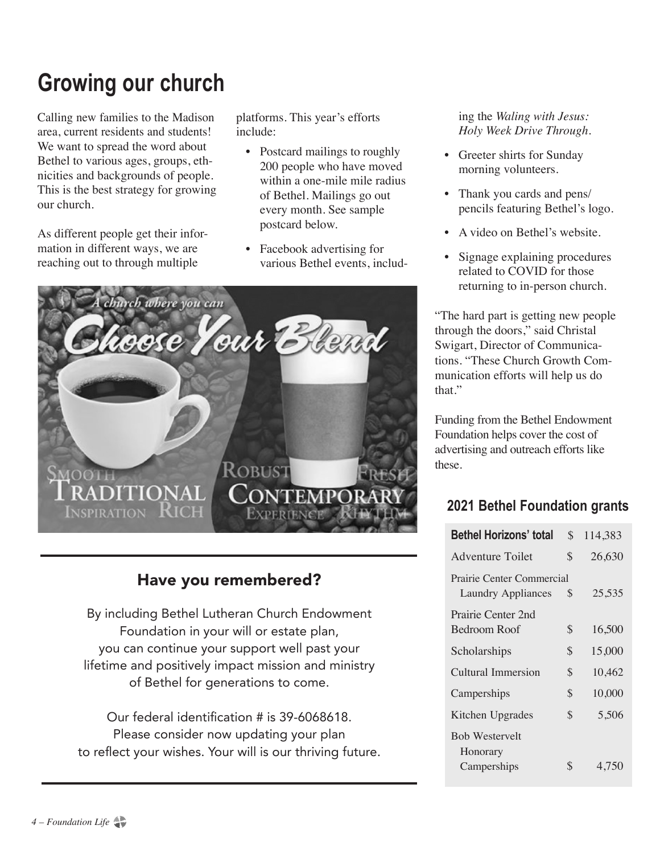# **Growing our church**

Calling new families to the Madison area, current residents and students! We want to spread the word about Bethel to various ages, groups, ethnicities and backgrounds of people. This is the best strategy for growing our church.

As different people get their information in different ways, we are reaching out to through multiple

platforms. This year's efforts include:

- Postcard mailings to roughly 200 people who have moved within a one-mile mile radius of Bethel. Mailings go out every month. See sample postcard below.
- Facebook advertising for various Bethel events, includ-



## Have you remembered?

By including Bethel Lutheran Church Endowment Foundation in your will or estate plan, you can continue your support well past your lifetime and positively impact mission and ministry of Bethel for generations to come.

Our federal identification # is 39-6068618. Please consider now updating your plan to reflect your wishes. Your will is our thriving future.

 ing the *Waling with Jesus: Holy Week Drive Through*.

- Greeter shirts for Sunday morning volunteers.
- Thank you cards and pens/ pencils featuring Bethel's logo.
- A video on Bethel's website.
- Signage explaining procedures related to COVID for those returning to in-person church.

"The hard part is getting new people through the doors," said Christal Swigart, Director of Communications. "These Church Growth Communication efforts will help us do that."

Funding from the Bethel Endowment Foundation helps cover the cost of advertising and outreach efforts like these.

## **2021 Bethel Foundation grants**

| <b>Bethel Horizons' total</b>                          | \$<br>114,383 |
|--------------------------------------------------------|---------------|
| Adventure Toilet                                       | \$<br>26,630  |
| Prairie Center Commercial<br><b>Laundry Appliances</b> | \$<br>25,535  |
| Prairie Center 2nd<br>Bedroom Roof                     | \$<br>16,500  |
| Scholarships                                           | \$<br>15,000  |
| Cultural Immersion                                     | \$<br>10,462  |
| Camperships                                            | \$<br>10,000  |
| Kitchen Upgrades                                       | \$<br>5,506   |
| <b>Bob Westervelt</b><br>Honorary                      |               |
| Camperships                                            | \$<br>4,750   |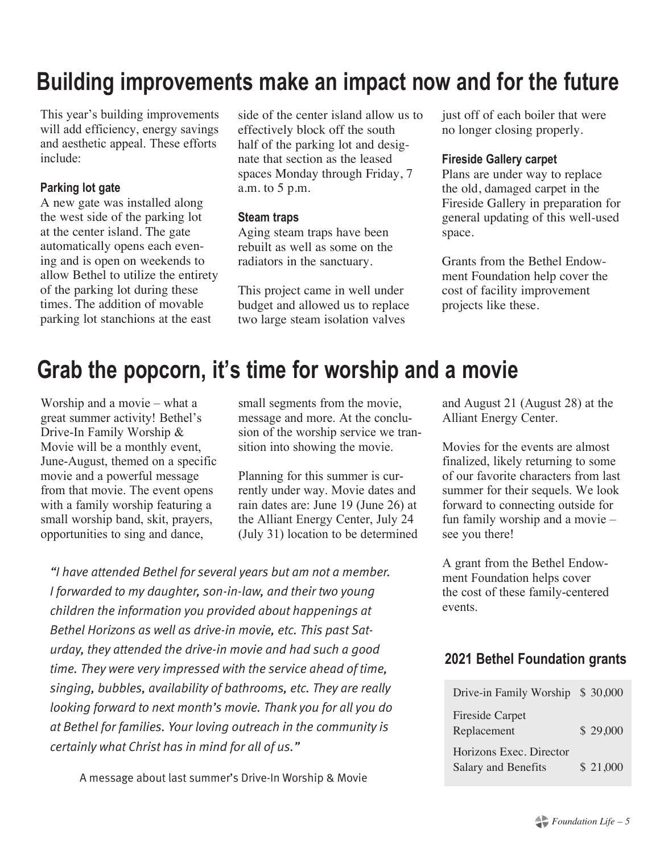# **Building improvements make an impact now and for the future**

This year's building improvements will add efficiency, energy savings and aesthetic appeal. These efforts include:

### **Parking lot gate**

A new gate was installed along the west side of the parking lot at the center island. The gate automatically opens each evening and is open on weekends to allow Bethel to utilize the entirety of the parking lot during these times. The addition of movable parking lot stanchions at the east

side of the center island allow us to effectively block off the south half of the parking lot and designate that section as the leased spaces Monday through Friday, 7 a.m. to 5 p.m.

#### **Steam traps**

Aging steam traps have been rebuilt as well as some on the radiators in the sanctuary.

This project came in well under budget and allowed us to replace two large steam isolation valves

just off of each boiler that were no longer closing properly.

#### **Fireside Gallery carpet**

Plans are under way to replace the old, damaged carpet in the Fireside Gallery in preparation for general updating of this well-used space.

Grants from the Bethel Endowment Foundation help cover the cost of facility improvement projects like these.

# **Grab the popcorn, it's time for worship and a movie**

Worship and a movie – what a great summer activity! Bethel's Drive-In Family Worship & Movie will be a monthly event, June-August, themed on a specific movie and a powerful message from that movie. The event opens with a family worship featuring a small worship band, skit, prayers, opportunities to sing and dance,

small segments from the movie, message and more. At the conclusion of the worship service we transition into showing the movie.

Planning for this summer is currently under way. Movie dates and rain dates are: June 19 (June 26) at the Alliant Energy Center, July 24 (July 31) location to be determined

*"I have attended Bethel for several years but am not a member. I forwarded to my daughter, son-in-law, and their two young children the information you provided about happenings at Bethel Horizons as well as drive-in movie, etc. This past Saturday, they attended the drive-in movie and had such a good time. They were very impressed with the service ahead of time, singing, bubbles, availability of bathrooms, etc. They are really looking forward to next month's movie. Thank you for all you do at Bethel for families. Your loving outreach in the community is certainly what Christ has in mind for all of us."*

A message about last summer's Drive-In Worship & Movie

and August 21 (August 28) at the Alliant Energy Center.

Movies for the events are almost finalized, likely returning to some of our favorite characters from last summer for their sequels. We look forward to connecting outside for fun family worship and a movie – see you there!

A grant from the Bethel Endowment Foundation helps cover the cost of these family-centered events.

### **2021 Bethel Foundation grants**

| Drive-in Family Worship \$30,000               |          |
|------------------------------------------------|----------|
| <b>Fireside Carpet</b><br>Replacement          | \$29,000 |
| Horizons Exec. Director<br>Salary and Benefits | \$21,000 |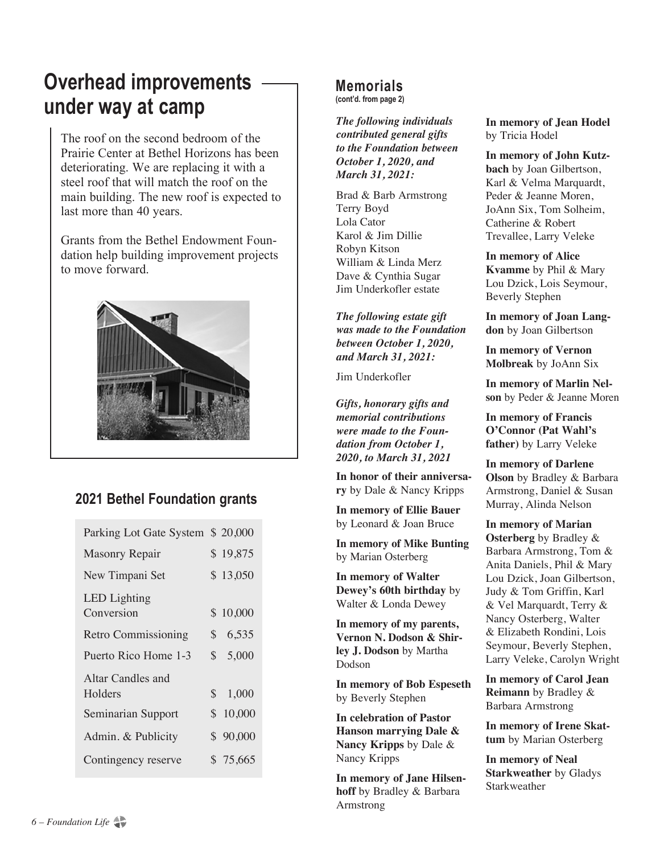# **Overhead improvements under way at camp**

The roof on the second bedroom of the Prairie Center at Bethel Horizons has been deteriorating. We are replacing it with a steel roof that will match the roof on the main building. The new roof is expected to last more than 40 years.

Grants from the Bethel Endowment Foundation help building improvement projects to move forward.



### **2021 Bethel Foundation grants**

| Parking Lot Gate System \$20,000  |          |
|-----------------------------------|----------|
| Masonry Repair                    | \$19,875 |
| New Timpani Set                   | \$13,050 |
| <b>LED</b> Lighting<br>Conversion | \$10,000 |
| <b>Retro Commissioning</b>        | \$6,535  |
| Puerto Rico Home 1-3              | \$5,000  |
| Altar Candles and<br>Holders      | \$1,000  |
| Seminarian Support                | \$10,000 |
| Admin. & Publicity                | \$90,000 |
| Contingency reserve               | \$75,665 |
|                                   |          |

### **Memorials**

**(cont'd. from page 2)** 

*The following individuals contributed general gifts to the Foundation between October 1, 2020, and March 31, 2021:*

Brad & Barb Armstrong Terry Boyd Lola Cator Karol & Jim Dillie Robyn Kitson William & Linda Merz Dave & Cynthia Sugar Jim Underkofler estate

*The following estate gift was made to the Foundation between October 1, 2020, and March 31, 2021:*

Jim Underkofler

*Gifts, honorary gifts and memorial contributions were made to the Foundation from October 1, 2020, to March 31, 2021*

**In honor of their anniversary** by Dale & Nancy Kripps

**In memory of Ellie Bauer** by Leonard & Joan Bruce

**In memory of Mike Bunting** by Marian Osterberg

**In memory of Walter Dewey's 60th birthday** by Walter & Londa Dewey

**In memory of my parents, Vernon N. Dodson & Shirley J. Dodson** by Martha Dodson

**In memory of Bob Espeseth**  by Beverly Stephen

**In celebration of Pastor Hanson marrying Dale & Nancy Kripps** by Dale & Nancy Kripps

**In memory of Jane Hilsenhoff** by Bradley & Barbara Armstrong

**In memory of Jean Hodel** by Tricia Hodel

**In memory of John Kutzbach** by Joan Gilbertson, Karl & Velma Marquardt, Peder & Jeanne Moren, JoAnn Six, Tom Solheim, Catherine & Robert Trevallee, Larry Veleke

**In memory of Alice Kvamme** by Phil & Mary Lou Dzick, Lois Seymour, Beverly Stephen

**In memory of Joan Langdon** by Joan Gilbertson

**In memory of Vernon Molbreak** by JoAnn Six

**In memory of Marlin Nelson** by Peder & Jeanne Moren

**In memory of Francis O'Connor (Pat Wahl's father)** by Larry Veleke

**In memory of Darlene Olson** by Bradley & Barbara Armstrong, Daniel & Susan Murray, Alinda Nelson

**In memory of Marian Osterberg** by Bradley & Barbara Armstrong, Tom & Anita Daniels, Phil & Mary Lou Dzick, Joan Gilbertson, Judy & Tom Griffin, Karl & Vel Marquardt, Terry & Nancy Osterberg, Walter & Elizabeth Rondini, Lois Seymour, Beverly Stephen, Larry Veleke, Carolyn Wright

**In memory of Carol Jean Reimann** by Bradley & Barbara Armstrong

**In memory of Irene Skattum** by Marian Osterberg

**In memory of Neal Starkweather** by Gladys Starkweather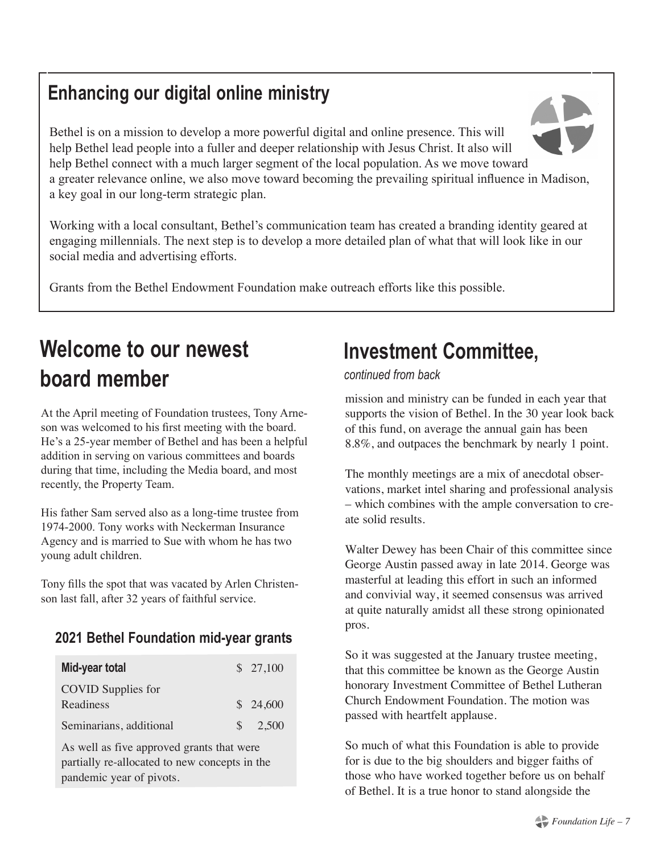# **Enhancing our digital online ministry**

Bethel is on a mission to develop a more powerful digital and online presence. This will help Bethel lead people into a fuller and deeper relationship with Jesus Christ. It also will help Bethel connect with a much larger segment of the local population. As we move toward a greater relevance online, we also move toward becoming the prevailing spiritual influence in Madison, a key goal in our long-term strategic plan.

Working with a local consultant, Bethel's communication team has created a branding identity geared at engaging millennials. The next step is to develop a more detailed plan of what that will look like in our social media and advertising efforts.

Grants from the Bethel Endowment Foundation make outreach efforts like this possible.

# **Welcome to our newest board member**

At the April meeting of Foundation trustees, Tony Arneson was welcomed to his first meeting with the board. He's a 25-year member of Bethel and has been a helpful addition in serving on various committees and boards during that time, including the Media board, and most recently, the Property Team.

His father Sam served also as a long-time trustee from 1974-2000. Tony works with Neckerman Insurance Agency and is married to Sue with whom he has two young adult children.

Tony fills the spot that was vacated by Arlen Christenson last fall, after 32 years of faithful service.

### **2021 Bethel Foundation mid-year grants**

| Mid-year total            |               | \$27,100 |
|---------------------------|---------------|----------|
| <b>COVID</b> Supplies for |               |          |
| Readiness                 |               | \$24,600 |
| Seminarians, additional   | $\mathcal{S}$ | 2,500    |

As well as five approved grants that were partially re-allocated to new concepts in the pandemic year of pivots.

# **Investment Committee,**

### *continued from back*

mission and ministry can be funded in each year that supports the vision of Bethel. In the 30 year look back of this fund, on average the annual gain has been 8.8%, and outpaces the benchmark by nearly 1 point.

The monthly meetings are a mix of anecdotal observations, market intel sharing and professional analysis – which combines with the ample conversation to create solid results.

Walter Dewey has been Chair of this committee since George Austin passed away in late 2014. George was masterful at leading this effort in such an informed and convivial way, it seemed consensus was arrived at quite naturally amidst all these strong opinionated pros.

So it was suggested at the January trustee meeting, that this committee be known as the George Austin honorary Investment Committee of Bethel Lutheran Church Endowment Foundation. The motion was passed with heartfelt applause.

So much of what this Foundation is able to provide for is due to the big shoulders and bigger faiths of those who have worked together before us on behalf of Bethel. It is a true honor to stand alongside the